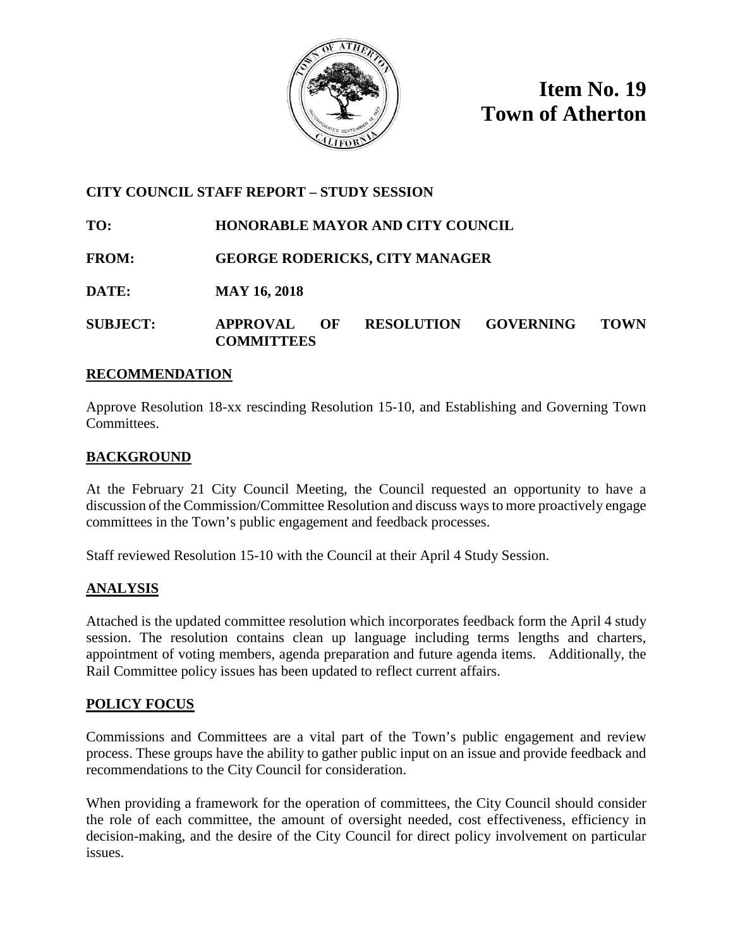

**Item No. 19 Town of Atherton**

# **CITY COUNCIL STAFF REPORT – STUDY SESSION**

**TO: HONORABLE MAYOR AND CITY COUNCIL**

- **FROM: GEORGE RODERICKS, CITY MANAGER**
- **DATE: MAY 16, 2018**

# **SUBJECT: APPROVAL OF RESOLUTION GOVERNING TOWN COMMITTEES**

## **RECOMMENDATION**

Approve Resolution 18-xx rescinding Resolution 15-10, and Establishing and Governing Town Committees.

# **BACKGROUND**

At the February 21 City Council Meeting, the Council requested an opportunity to have a discussion of the Commission/Committee Resolution and discuss ways to more proactively engage committees in the Town's public engagement and feedback processes.

Staff reviewed Resolution 15-10 with the Council at their April 4 Study Session.

# **ANALYSIS**

Attached is the updated committee resolution which incorporates feedback form the April 4 study session. The resolution contains clean up language including terms lengths and charters, appointment of voting members, agenda preparation and future agenda items. Additionally, the Rail Committee policy issues has been updated to reflect current affairs.

# **POLICY FOCUS**

Commissions and Committees are a vital part of the Town's public engagement and review process. These groups have the ability to gather public input on an issue and provide feedback and recommendations to the City Council for consideration.

When providing a framework for the operation of committees, the City Council should consider the role of each committee, the amount of oversight needed, cost effectiveness, efficiency in decision-making, and the desire of the City Council for direct policy involvement on particular issues.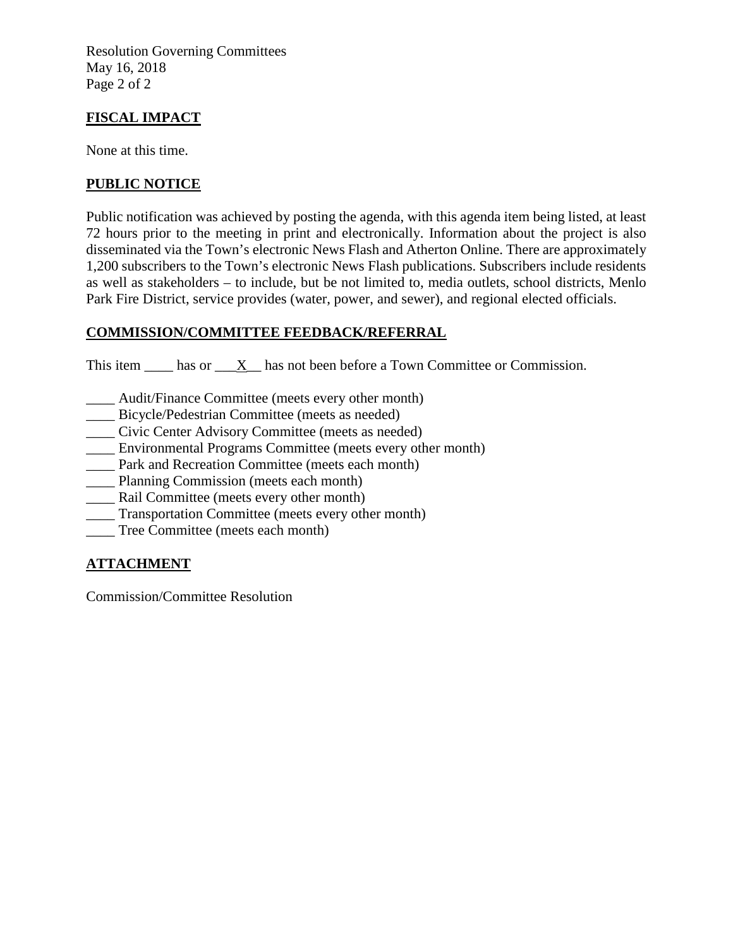Resolution Governing Committees May 16, 2018 Page 2 of 2

# **FISCAL IMPACT**

None at this time.

# **PUBLIC NOTICE**

Public notification was achieved by posting the agenda, with this agenda item being listed, at least 72 hours prior to the meeting in print and electronically. Information about the project is also disseminated via the Town's electronic News Flash and Atherton Online. There are approximately 1,200 subscribers to the Town's electronic News Flash publications. Subscribers include residents as well as stakeholders – to include, but be not limited to, media outlets, school districts, Menlo Park Fire District, service provides (water, power, and sewer), and regional elected officials.

# **COMMISSION/COMMITTEE FEEDBACK/REFERRAL**

This item has or X has not been before a Town Committee or Commission.

- \_\_\_\_ Audit/Finance Committee (meets every other month)
- \_\_\_\_ Bicycle/Pedestrian Committee (meets as needed)
- \_\_\_\_ Civic Center Advisory Committee (meets as needed)
- \_\_\_\_ Environmental Programs Committee (meets every other month)
- \_\_\_\_ Park and Recreation Committee (meets each month)
- Planning Commission (meets each month)
- \_\_\_\_ Rail Committee (meets every other month)
- \_\_\_\_ Transportation Committee (meets every other month)
- \_\_\_\_ Tree Committee (meets each month)

# **ATTACHMENT**

Commission/Committee Resolution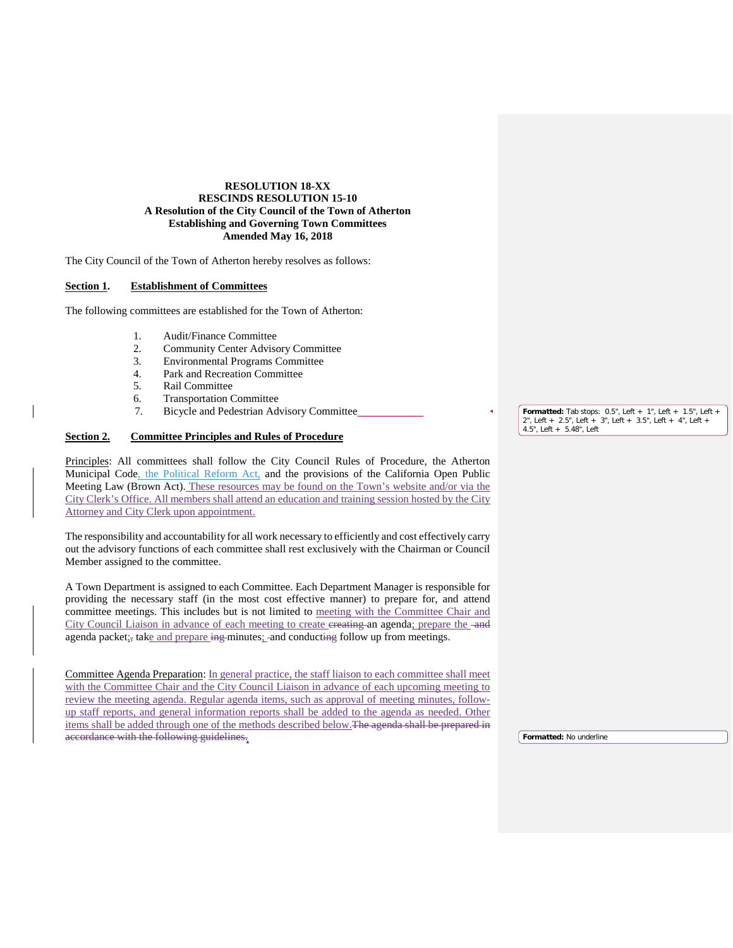## **RESOLUTION 18-XX RESCINDS RESOLUTION 15-10 A Resolution of the City Council of the Town of Atherton Establishing and Governing Town Committees Amended May 16, 2018**

The City Council of the Town of Atherton hereby resolves as follows:

#### **Section 1. Establishment of Committees**

The following committees are established for the Town of Atherton:

- 1. Audit/Finance Committee<br>2. Community Center Advise
- 2. Community Center Advisory Committee<br>
3. Environmental Programs Committee
- 3. Environmental Programs Committee<br>4. Park and Recreation Committee
- Park and Recreation Committee
- 5. Rail Committee
- 6. Transportation Committee
- 7. Bicycle and Pedestrian Advisory Committee

## **Section 2. Committee Principles and Rules of Procedure**

Principles: All committees shall follow the City Council Rules of Procedure, the Atherton Municipal Code, the Political Reform Act, and the provisions of the California Open Public Meeting Law (Brown Act). These resources may be found on the Town's website and/or via the City Clerk's Office. All members shall attend an education and training session hosted by the City Attorney and City Clerk upon appointment.

The responsibility and accountability for all work necessary to efficiently and cost effectively carry out the advisory functions of each committee shall rest exclusively with the Chairman or Council Member assigned to the committee.

A Town Department is assigned to each Committee. Each Department Manager is responsible for providing the necessary staff (in the most cost effective manner) to prepare for, and attend committee meetings. This includes but is not limited to meeting with the Committee Chair and City Council Liaison in advance of each meeting to create ereating an agenda; prepare the -and agenda packet<sub>is</sub> take and prepare  $\frac{1}{2}$  minutes; and conducting follow up from meetings.

Committee Agenda Preparation: In general practice, the staff liaison to each committee shall meet with the Committee Chair and the City Council Liaison in advance of each upcoming meeting to review the meeting agenda. Regular agenda items, such as approval of meeting minutes, followup staff reports, and general information reports shall be added to the agenda as needed. Other items shall be added through one of the methods described below.The agenda shall be prepared in accordance with the following guidelines.

**Formatted:** Tab stops: 0.5", Left + 1", Left + 1.5", Left + 2", Left + 2.5", Left + 3", Left + 3.5", Left + 4", Left + 4.5", Left + 5.48", Left

**Formatted:** No underline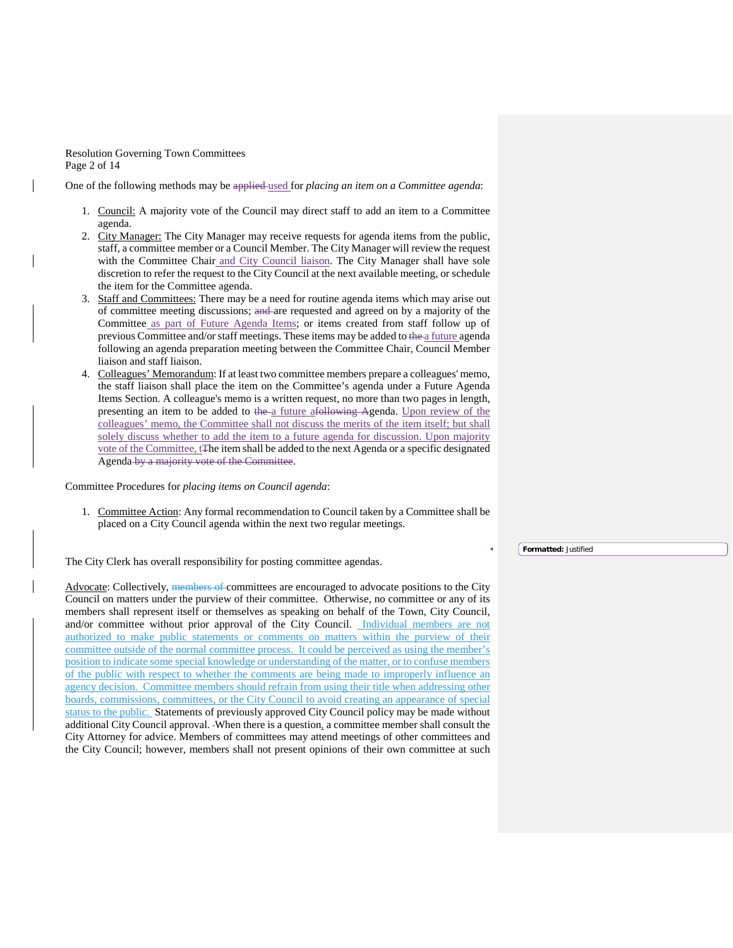Resolution Governing Town Committees Page 2 of 14

One of the following methods may be applied used for *placing an item on a Committee agenda*:

- 1. Council: A majority vote of the Council may direct staff to add an item to a Committee agenda.
- 2. City Manager: The City Manager may receive requests for agenda items from the public, staff, a committee member or a Council Member. The City Manager will review the request with the Committee Chair and City Council liaison. The City Manager shall have sole discretion to refer the request to the City Council at the next available meeting, or schedule the item for the Committee agenda.
- 3. Staff and Committees: There may be a need for routine agenda items which may arise out of committee meeting discussions; and are requested and agreed on by a majority of the Committee as part of Future Agenda Items; or items created from staff follow up of previous Committee and/or staff meetings. These items may be added to the a future agenda following an agenda preparation meeting between the Committee Chair, Council Member liaison and staff liaison.
- 4. Colleagues' Memorandum: If at least two committee members prepare a colleagues' memo, the staff liaison shall place the item on the Committee's agenda under a Future Agenda Items Section. A colleague's memo is a written request, no more than two pages in length, presenting an item to be added to the a future afollowing Agenda. Upon review of the colleagues' memo, the Committee shall not discuss the merits of the item itself; but shall solely discuss whether to add the item to a future agenda for discussion. Upon majority vote of the Committee, t<sub>The item shall be added to the next Agenda or a specific designated</sub> Agenda by a majority vote of the Committee.

Committee Procedures for *placing items on Council agenda*:

1. Committee Action: Any formal recommendation to Council taken by a Committee shall be placed on a City Council agenda within the next two regular meetings.

The City Clerk has overall responsibility for posting committee agendas.

Advocate: Collectively, members of committees are encouraged to advocate positions to the City Council on matters under the purview of their committee. Otherwise, no committee or any of its members shall represent itself or themselves as speaking on behalf of the Town, City Council, and/or committee without prior approval of the City Council. Individual members are not authorized to make public statements or comments on matters within the purview of their committee outside of the normal committee process. It could be perceived as using the member's position to indicate some special knowledge or understanding of the matter, or to confuse members of the public with respect to whether the comments are being made to improperly influence an agency decision. Committee members should refrain from using their title when addressing other boards, commissions, committees, or the City Council to avoid creating an appearance of special status to the public. Statements of previously approved City Council policy may be made without additional City Council approval. When there is a question, a committee member shall consult the City Attorney for advice. Members of committees may attend meetings of other committees and the City Council; however, members shall not present opinions of their own committee at such

**Formatted:** Justified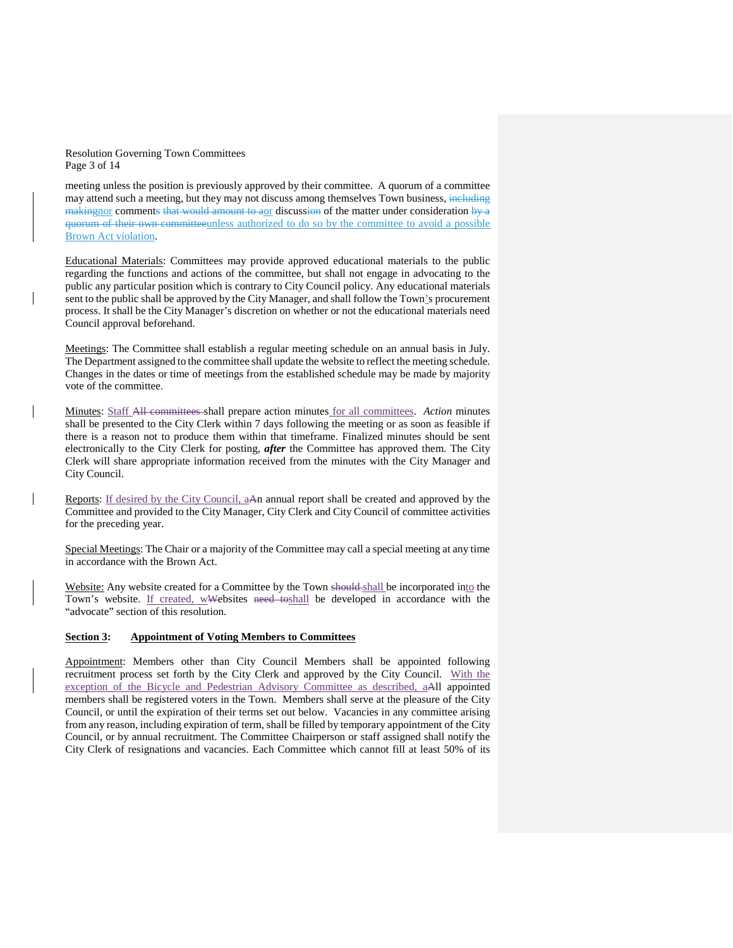#### Resolution Governing Town Committees Page 3 of 14

meeting unless the position is previously approved by their committee. A quorum of a committee may attend such a meeting, but they may not discuss among themselves Town business, including making norm comments that would amount to aor discussion of the matter under consideration by a quorum of their own committeeunless authorized to do so by the committee to avoid a possible Brown Act violation.

Educational Materials: Committees may provide approved educational materials to the public regarding the functions and actions of the committee, but shall not engage in advocating to the public any particular position which is contrary to City Council policy. Any educational materials sent to the public shall be approved by the City Manager, and shall follow the Town's procurement process. It shall be the City Manager's discretion on whether or not the educational materials need Council approval beforehand.

Meetings: The Committee shall establish a regular meeting schedule on an annual basis in July. The Department assigned to the committee shall update the website to reflect the meeting schedule. Changes in the dates or time of meetings from the established schedule may be made by majority vote of the committee.

Minutes: Staff All committees shall prepare action minutes for all committees. *Action* minutes shall be presented to the City Clerk within 7 days following the meeting or as soon as feasible if there is a reason not to produce them within that timeframe. Finalized minutes should be sent electronically to the City Clerk for posting, *after* the Committee has approved them. The City Clerk will share appropriate information received from the minutes with the City Manager and City Council.

Reports: If desired by the City Council, aAn annual report shall be created and approved by the Committee and provided to the City Manager, City Clerk and City Council of committee activities for the preceding year.

Special Meetings: The Chair or a majority of the Committee may call a special meeting at any time in accordance with the Brown Act.

Website: Any website created for a Committee by the Town should shall be incorporated into the Town's website. If created, wWebsites need to shall be developed in accordance with the "advocate" section of this resolution.

### **Section 3: Appointment of Voting Members to Committees**

Appointment: Members other than City Council Members shall be appointed following recruitment process set forth by the City Clerk and approved by the City Council. With the exception of the Bicycle and Pedestrian Advisory Committee as described, aAll appointed members shall be registered voters in the Town. Members shall serve at the pleasure of the City Council, or until the expiration of their terms set out below. Vacancies in any committee arising from any reason, including expiration of term, shall be filled by temporary appointment of the City Council, or by annual recruitment. The Committee Chairperson or staff assigned shall notify the City Clerk of resignations and vacancies. Each Committee which cannot fill at least 50% of its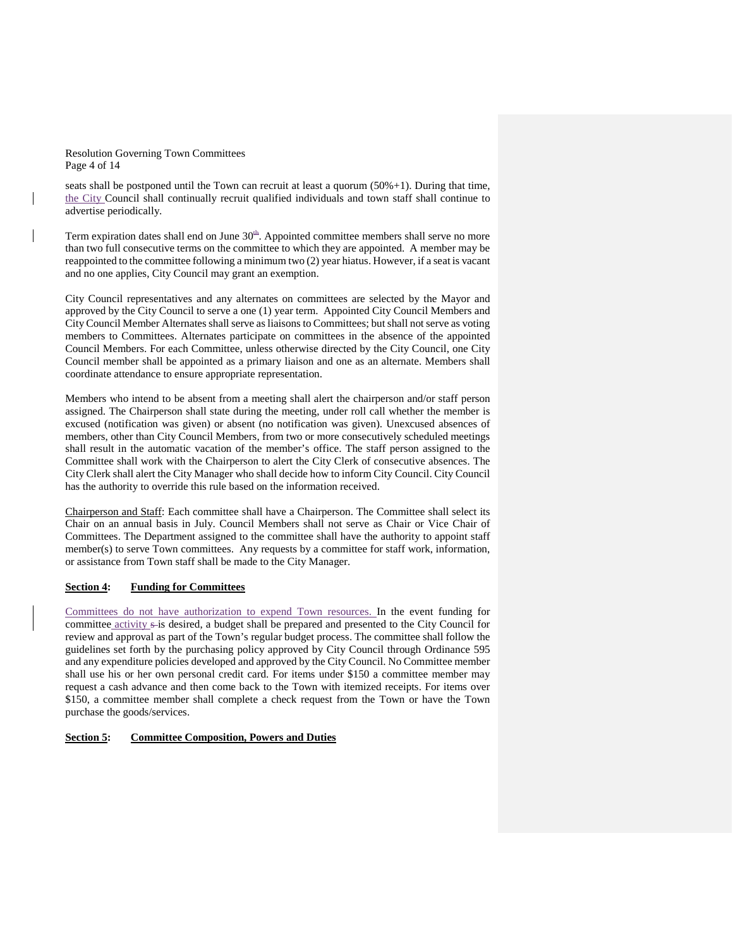Resolution Governing Town Committees Page 4 of 14

seats shall be postponed until the Town can recruit at least a quorum  $(50\% + 1)$ . During that time, the City Council shall continually recruit qualified individuals and town staff shall continue to advertise periodically.

Term expiration dates shall end on June  $30<sup>th</sup>$ . Appointed committee members shall serve no more than two full consecutive terms on the committee to which they are appointed. A member may be reappointed to the committee following a minimum two (2) year hiatus. However, if a seat is vacant and no one applies, City Council may grant an exemption.

City Council representatives and any alternates on committees are selected by the Mayor and approved by the City Council to serve a one (1) year term. Appointed City Council Members and City Council Member Alternates shall serve as liaisons to Committees; but shall not serve as voting members to Committees. Alternates participate on committees in the absence of the appointed Council Members. For each Committee, unless otherwise directed by the City Council, one City Council member shall be appointed as a primary liaison and one as an alternate. Members shall coordinate attendance to ensure appropriate representation.

Members who intend to be absent from a meeting shall alert the chairperson and/or staff person assigned. The Chairperson shall state during the meeting, under roll call whether the member is excused (notification was given) or absent (no notification was given). Unexcused absences of members, other than City Council Members, from two or more consecutively scheduled meetings shall result in the automatic vacation of the member's office. The staff person assigned to the Committee shall work with the Chairperson to alert the City Clerk of consecutive absences. The City Clerk shall alert the City Manager who shall decide how to inform City Council. City Council has the authority to override this rule based on the information received.

Chairperson and Staff: Each committee shall have a Chairperson. The Committee shall select its Chair on an annual basis in July. Council Members shall not serve as Chair or Vice Chair of Committees. The Department assigned to the committee shall have the authority to appoint staff member(s) to serve Town committees. Any requests by a committee for staff work, information, or assistance from Town staff shall be made to the City Manager.

### **Section 4: Funding for Committees**

Committees do not have authorization to expend Town resources. In the event funding for committee activity s-is desired, a budget shall be prepared and presented to the City Council for review and approval as part of the Town's regular budget process. The committee shall follow the guidelines set forth by the purchasing policy approved by City Council through Ordinance 595 and any expenditure policies developed and approved by the City Council. No Committee member shall use his or her own personal credit card. For items under \$150 a committee member may request a cash advance and then come back to the Town with itemized receipts. For items over \$150, a committee member shall complete a check request from the Town or have the Town purchase the goods/services.

### **Section 5: Committee Composition, Powers and Duties**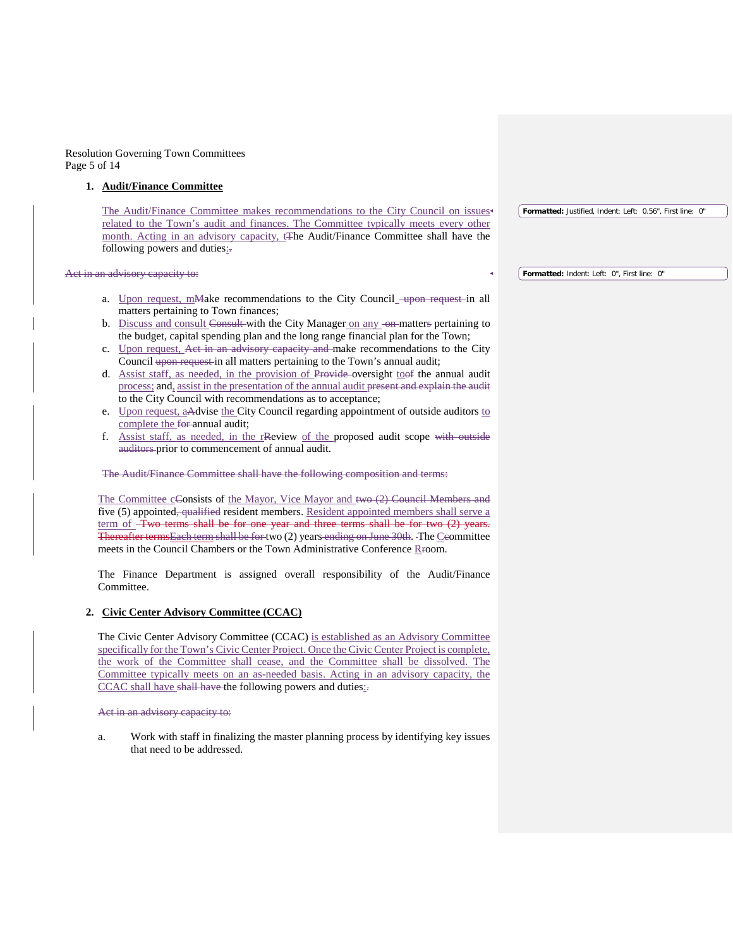Resolution Governing Town Committees Page 5 of 14

#### **1. Audit/Finance Committee**

The Audit/Finance Committee makes recommendations to the City Council on issues related to the Town's audit and finances. The Committee typically meets every other month. Acting in an advisory capacity, t<sub>The Audit/Finance</sub> Committee shall have the following powers and duties:-

#### Act in an advisory capacity to:

- a. Upon request,  $m$ Make recommendations to the City Council  $\frac{m}{m}$  request in all matters pertaining to Town finances;
- b. Discuss and consult Consult with the City Manager on any -on-matters pertaining to the budget, capital spending plan and the long range financial plan for the Town;
- c. Upon request, Act in an advisory capacity and make recommendations to the City Council upon request in all matters pertaining to the Town's annual audit;
- d. Assist staff, as needed, in the provision of Provide oversight toof the annual audit process; and, assist in the presentation of the annual audit present and explain the audit to the City Council with recommendations as to acceptance;
- e. Upon request, aAdvise the City Council regarding appointment of outside auditors to complete the for-annual audit;
- f. Assist staff, as needed, in the rReview of the proposed audit scope with outside auditors prior to commencement of annual audit.

#### The Audit/Finance Committee shall have the following composition and terms:

The Committee cGonsists of the Mayor, Vice Mayor and two (2) Council Members and five (5) appointed<del>, qualified</del> resident members. Resident appointed members shall serve a term of Two terms shall be for one year and three terms shall be for two (2) years. Thereafter termsEach term shall be for two (2) years ending on June 30th. The Ccommittee meets in the Council Chambers or the Town Administrative Conference Rroom.

The Finance Department is assigned overall responsibility of the Audit/Finance Committee.

### **2. Civic Center Advisory Committee (CCAC)**

The Civic Center Advisory Committee (CCAC) is established as an Advisory Committee specifically for the Town's Civic Center Project. Once the Civic Center Project is complete, the work of the Committee shall cease, and the Committee shall be dissolved. The Committee typically meets on an as-needed basis. Acting in an advisory capacity, the CCAC shall have shall have the following powers and duties:

#### Act in an advisory capacity to:

a. Work with staff in finalizing the master planning process by identifying key issues that need to be addressed.

**Formatted:** Justified, Indent: Left: 0.56", First line: 0"

**Formatted:** Indent: Left: 0", First line: 0"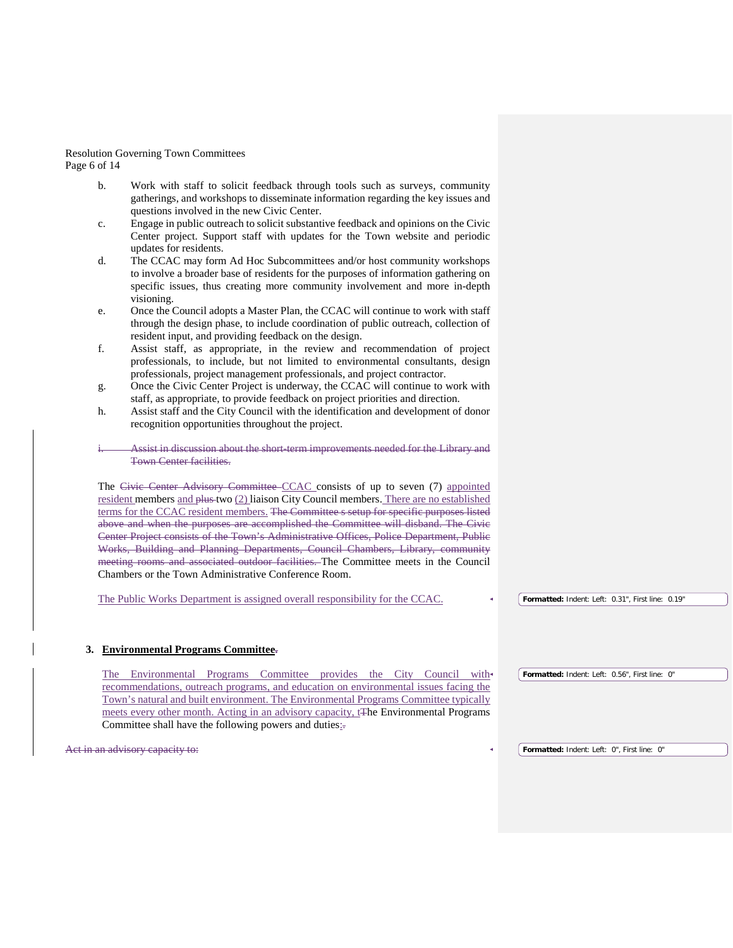Resolution Governing Town Committees Page 6 of 14

- b. Work with staff to solicit feedback through tools such as surveys, community gatherings, and workshops to disseminate information regarding the key issues and questions involved in the new Civic Center.
- c. Engage in public outreach to solicit substantive feedback and opinions on the Civic Center project. Support staff with updates for the Town website and periodic updates for residents.
- d. The CCAC may form Ad Hoc Subcommittees and/or host community workshops to involve a broader base of residents for the purposes of information gathering on specific issues, thus creating more community involvement and more in-depth visioning.
- e. Once the Council adopts a Master Plan, the CCAC will continue to work with staff through the design phase, to include coordination of public outreach, collection of resident input, and providing feedback on the design.
- f. Assist staff, as appropriate, in the review and recommendation of project professionals, to include, but not limited to environmental consultants, design professionals, project management professionals, and project contractor.
- g. Once the Civic Center Project is underway, the CCAC will continue to work with staff, as appropriate, to provide feedback on project priorities and direction.
- h. Assist staff and the City Council with the identification and development of donor recognition opportunities throughout the project.
- Assist in discussion about the short-term improvements needed for the Library and Town Center facilities.

The Civic Center Advisory Committee CCAC consists of up to seven (7) appointed resident members and  $\frac{\partial H}{\partial x}$  two (2) liaison City Council members. There are no established terms for the CCAC resident members. The Committee s setup for specific purposes listed above and when the purposes are accomplished the Committee will disband. The Civic Center Project consists of the Town's Administrative Offices, Police Department, Public Works, Building and Planning Departments, Council Chambers, Library, community meeting rooms and associated outdoor facilities. The Committee meets in the Council Chambers or the Town Administrative Conference Room.

The Public Works Department is assigned overall responsibility for the CCAC.

### **3. Environmental Programs Committee.**

The Environmental Programs Committee provides the City Council with recommendations, outreach programs, and education on environmental issues facing the Town's natural and built environment. The Environmental Programs Committee typically meets every other month. Acting in an advisory capacity, t<sub>The Environmental</sub> Programs Committee shall have the following powers and duties: **Formatted:** Indent: Left: 0.56", First line: 0"

Act in an advisory capacity to:

**Formatted:** Indent: Left: 0.31", First line: 0.19"

**Formatted:** Indent: Left: 0", First line: 0"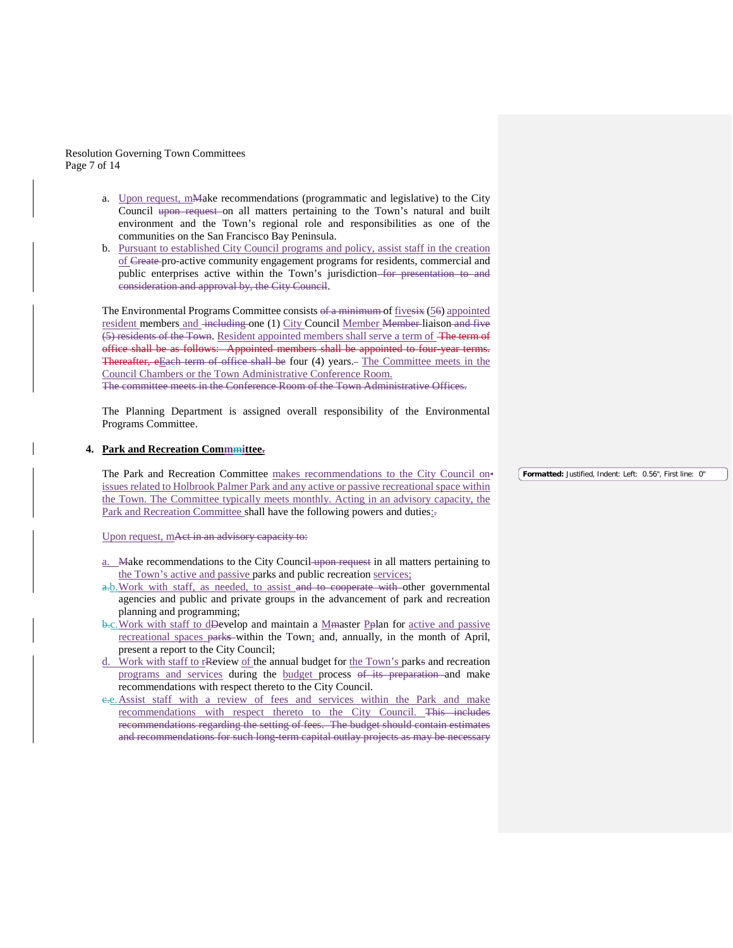Resolution Governing Town Committees Page 7 of 14

- a. Upon request, mMake recommendations (programmatic and legislative) to the City Council upon request on all matters pertaining to the Town's natural and built environment and the Town's regional role and responsibilities as one of the communities on the San Francisco Bay Peninsula.
- b. Pursuant to established City Council programs and policy, assist staff in the creation of Create pro-active community engagement programs for residents, commercial and public enterprises active within the Town's jurisdiction for presentation to and consideration and approval by, the City Council.

The Environmental Programs Committee consists of a minimum of five six (56) appointed resident members and including one (1) City Council Member Member liaison and five (5) residents of the Town. Resident appointed members shall serve a term of The term of office shall be as follows: Appointed members shall be appointed to four-year terms. Thereafter, eEach term of office shall be four (4) years.- The Committee meets in the Council Chambers or the Town Administrative Conference Room. The committee meets in the Conference Room of the Town Administrative Offices.

The Planning Department is assigned overall responsibility of the Environmental Programs Committee.

#### **4. Park and Recreation Commmittee.**

The Park and Recreation Committee makes recommendations to the City Council on issues related to Holbrook Palmer Park and any active or passive recreational space within the Town. The Committee typically meets monthly. Acting in an advisory capacity, the Park and Recreation Committee shall have the following powers and duties:-

Upon request, mAct in an advisory capacity to:

- a. Make recommendations to the City Council upon request in all matters pertaining to the Town's active and passive parks and public recreation services;
- a.b. Work with staff, as needed, to assist and to cooperate with other governmental agencies and public and private groups in the advancement of park and recreation planning and programming;
- b.c. Work with staff to dDevelop and maintain a Mmaster Pplan for active and passive recreational spaces park**s** within the Town; and, annually, in the month of April, present a report to the City Council;
- d. Work with staff to rReview of the annual budget for the Town's parks and recreation programs and services during the budget process of its preparation and make recommendations with respect thereto to the City Council.
- c.e.Assist staff with a review of fees and services within the Park and make recommendations with respect thereto to the City Council. This includes recommendations regarding the setting of fees.The budget should contain estimates and recommendations for such long-term capital outlay projects as may be necessary

**Formatted:** Justified, Indent: Left: 0.56", First line: 0"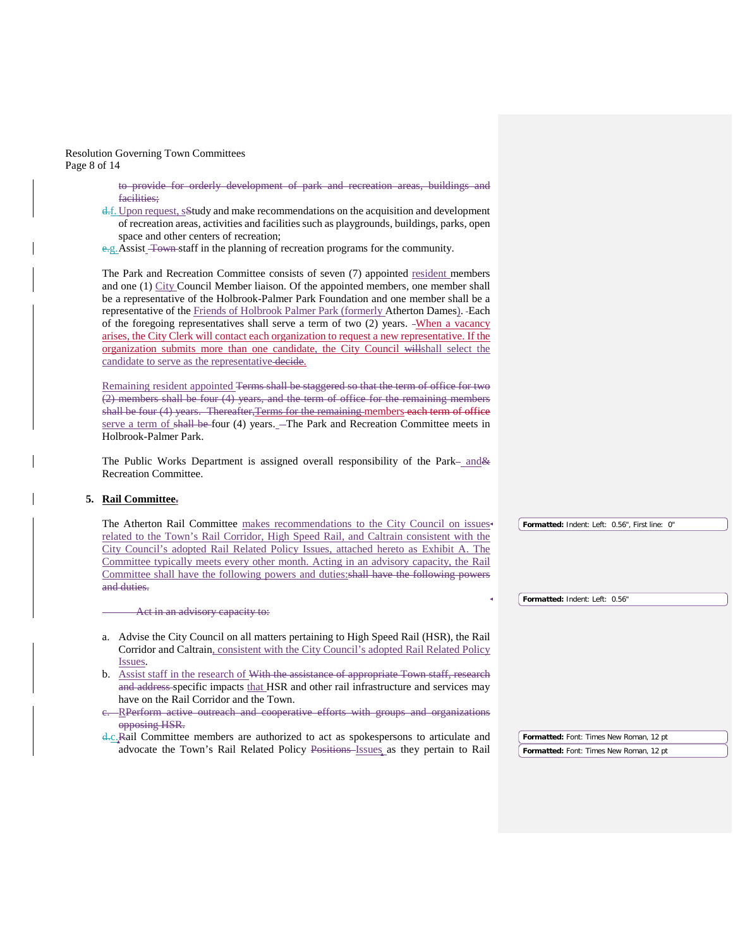Resolution Governing Town Committees Page 8 of 14

> to provide for orderly development of park and recreation areas, buildings and facilities;

- d.f. Upon request, sStudy and make recommendations on the acquisition and development of recreation areas, activities and facilities such as playgrounds, buildings, parks, open space and other centers of recreation;
- e.g. Assist Town staff in the planning of recreation programs for the community.

The Park and Recreation Committee consists of seven (7) appointed resident members and one (1) City Council Member liaison. Of the appointed members, one member shall be a representative of the Holbrook-Palmer Park Foundation and one member shall be a representative of the Friends of Holbrook Palmer Park (formerly Atherton Dames). Each of the foregoing representatives shall serve a term of two  $(2)$  years. -When a vacancy arises, the City Clerk will contact each organization to request a new representative. If the organization submits more than one candidate, the City Council willshall select the candidate to serve as the representative decide.

Remaining resident appointed Terms shall be staggered so that the term of office for two (2) members shall be four (4) years, and the term of office for the remaining members shall be four (4) years. Thereafter, Terms for the remaining members each term of office serve a term of shall be four (4) years. - The Park and Recreation Committee meets in Holbrook-Palmer Park.

The Public Works Department is assigned overall responsibility of the Park-and & Recreation Committee.

### **5. Rail Committee.**

| The Atherton Rail Committee makes recommendations to the City Council on issues               | Formatted: Indent: Left: 0.56", First line: 0" |
|-----------------------------------------------------------------------------------------------|------------------------------------------------|
| related to the Town's Rail Corridor, High Speed Rail, and Caltrain consistent with the        |                                                |
| City Council's adopted Rail Related Policy Issues, attached hereto as Exhibit A. The          |                                                |
| Committee typically meets every other month. Acting in an advisory capacity, the Rail         |                                                |
| Committee shall have the following powers and duties: shall have the following powers         |                                                |
| and duties.                                                                                   |                                                |
|                                                                                               | Formatted: Indent: Left: 0.56"                 |
| Act in an advisory capacity to:                                                               |                                                |
|                                                                                               |                                                |
| Advise the City Council on all matters pertaining to High Speed Rail (HSR), the Rail<br>a.    |                                                |
| Corridor and Caltrain, consistent with the City Council's adopted Rail Related Policy         |                                                |
| Issues.                                                                                       |                                                |
| Assist staff in the research of With the assistance of appropriate Town staff, research<br>b. |                                                |
| and address specific impacts that HSR and other rail infrastructure and services may          |                                                |
| have on the Rail Corridor and the Town.                                                       |                                                |
| e. RPerform active outreach and cooperative efforts with groups and organizations             |                                                |
| opposing HSR.                                                                                 |                                                |
|                                                                                               |                                                |

d.c.Rail Committee members are authorized to act as spokespersons to articulate and advocate the Town's Rail Related Policy Positions Issues as they pertain to Rail **Formatted:** Font: Times New Roman, 12 pt **Formatted:** Font: Times New Roman, 12 pt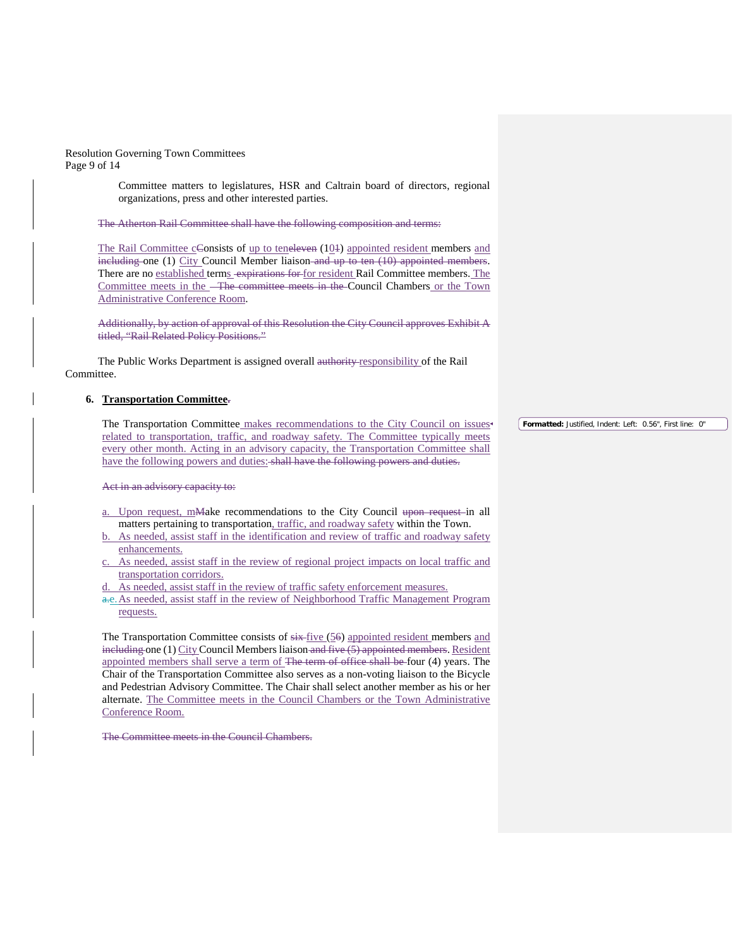Resolution Governing Town Committees Page 9 of 14

> Committee matters to legislatures, HSR and Caltrain board of directors, regional organizations, press and other interested parties.

The Atherton Rail Committee shall have the following composition and terms:

The Rail Committee  $c$ Consists of up to teneleven  $(10+1)$  appointed resident members and including one (1) City Council Member liaison and up to ten (10) appointed members. There are no established terms expirations for for resident Rail Committee members. The Committee meets in the The committee meets in the Council Chambers or the Town Administrative Conference Room.

Additionally, by action of approval of this Resolution the City Council approves Exhibit A titled, "Rail Related Policy Positions."

The Public Works Department is assigned overall authority responsibility of the Rail Committee.

#### **6. Transportation Committee.**

The Transportation Committee makes recommendations to the City Council on issues related to transportation, traffic, and roadway safety. The Committee typically meets every other month. Acting in an advisory capacity, the Transportation Committee shall have the following powers and duties: shall have the following powers and duties.

Act in an advisory capacity to:

- a. Upon request, mMake recommendations to the City Council upon request-in all matters pertaining to transportation, traffic, and roadway safety within the Town.
- b. As needed, assist staff in the identification and review of traffic and roadway safety enhancements.
- c. As needed, assist staff in the review of regional project impacts on local traffic and transportation corridors.
- As needed, assist staff in the review of traffic safety enforcement measures.
- a.e. As needed, assist staff in the review of Neighborhood Traffic Management Program requests.

The Transportation Committee consists of  $\frac{1}{1}$  (56) appointed resident members and including one (1) City Council Members liaison and five (5) appointed members. Resident appointed members shall serve a term of The term of office shall be four (4) years. The Chair of the Transportation Committee also serves as a non-voting liaison to the Bicycle and Pedestrian Advisory Committee. The Chair shall select another member as his or her alternate. The Committee meets in the Council Chambers or the Town Administrative Conference Room.

The Committee meets in the Council Chambers.

**Formatted:** Justified, Indent: Left: 0.56", First line: 0"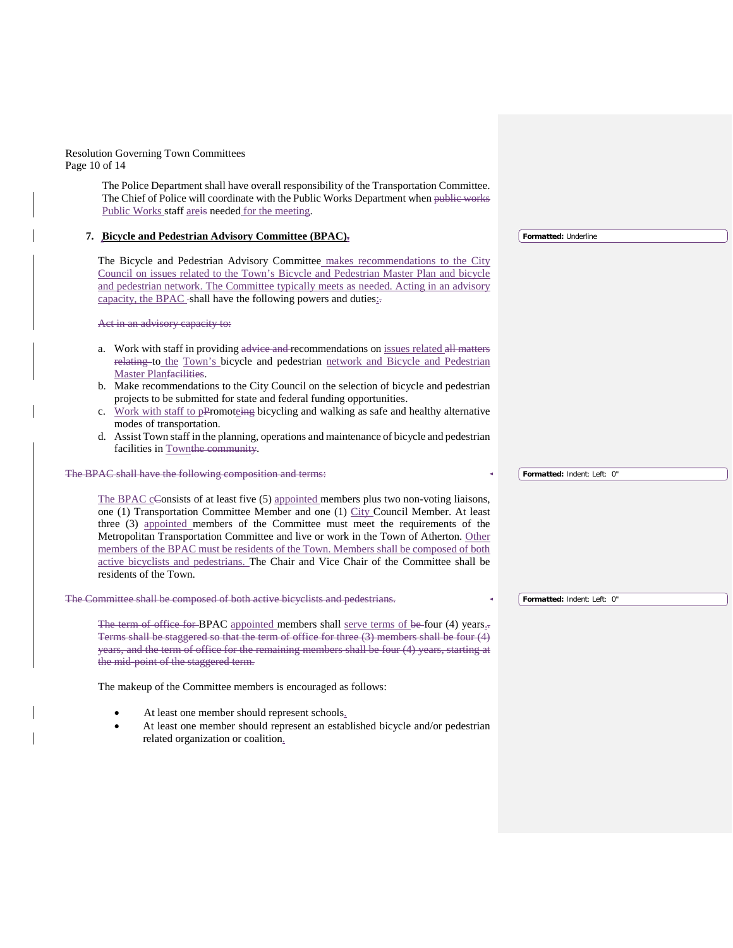Resolution Governing Town Committees Page 10 of 14

> The Police Department shall have overall responsibility of the Transportation Committee. The Chief of Police will coordinate with the Public Works Department when public works Public Works staff areis needed for the meeting.

#### **7. Bicycle and Pedestrian Advisory Committee (BPAC).**

The Bicycle and Pedestrian Advisory Committee makes recommendations to the City Council on issues related to the Town's Bicycle and Pedestrian Master Plan and bicycle and pedestrian network. The Committee typically meets as needed. Acting in an advisory capacity, the BPAC-shall have the following powers and duties:

Act in an advisory capacity to:

- a. Work with staff in providing advice and recommendations on issues related all matters relating to the Town's bicycle and pedestrian network and Bicycle and Pedestrian Master Planfacilities.
- b. Make recommendations to the City Council on the selection of bicycle and pedestrian projects to be submitted for state and federal funding opportunities.
- c. Work with staff to pPromoteing bicycling and walking as safe and healthy alternative modes of transportation.
- d. Assist Town staff in the planning, operations and maintenance of bicycle and pedestrian facilities in Townthe community.

#### The BPAC shall have the following composition and terms:

The BPAC cConsists of at least five (5) appointed members plus two non-voting liaisons, one (1) Transportation Committee Member and one (1) City Council Member. At least three (3) appointed members of the Committee must meet the requirements of the Metropolitan Transportation Committee and live or work in the Town of Atherton. Other members of the BPAC must be residents of the Town. Members shall be composed of both active bicyclists and pedestrians. The Chair and Vice Chair of the Committee shall be residents of the Town.

The Committee shall be composed of both active bicyclists and pedestrians.

The term of office for BPAC appointed members shall serve terms of be four (4) years... Terms shall be staggered so that the term of office for three (3) members shall be four (4) years, and the term of office for the remaining members shall be four (4) years, starting at the mid-point of the staggered term.

The makeup of the Committee members is encouraged as follows:

- At least one member should represent schools.
- At least one member should represent an established bicycle and/or pedestrian related organization or coalition.

**Formatted:** Underline

**Formatted:** Indent: Left: 0"

**Formatted:** Indent: Left: 0"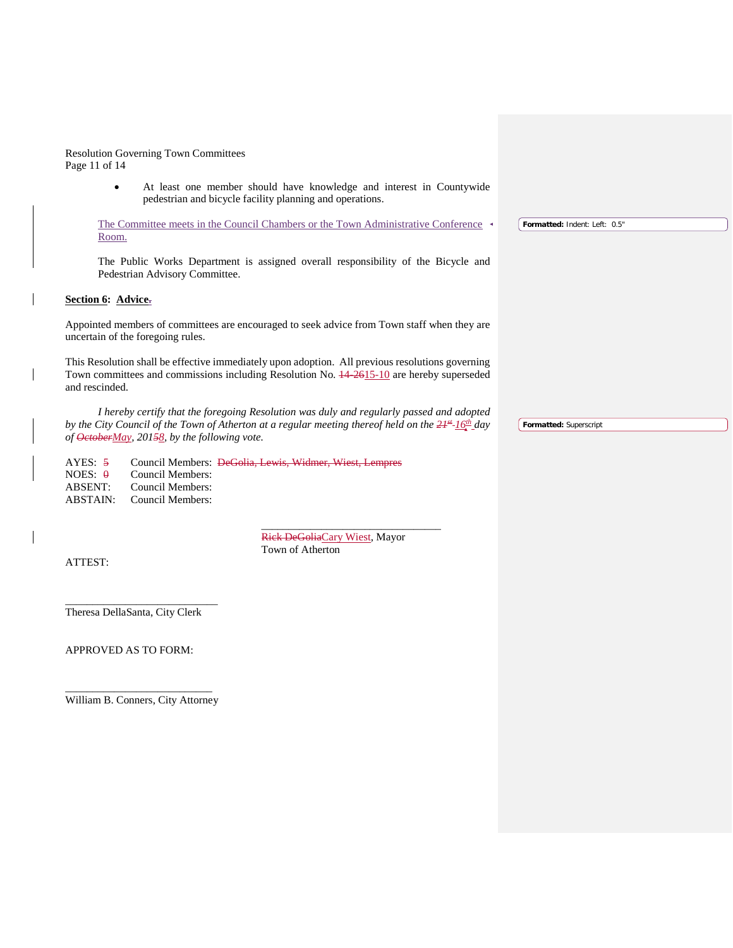Resolution Governing Town Committees Page 11 of 14

> • At least one member should have knowledge and interest in Countywide pedestrian and bicycle facility planning and operations.

The Committee meets in the Council Chambers or the Town Administrative Conference Room. **Formatted:** Indent: Left: 0.5"

The Public Works Department is assigned overall responsibility of the Bicycle and Pedestrian Advisory Committee.

### **Section 6: Advice.**

Appointed members of committees are encouraged to seek advice from Town staff when they are uncertain of the foregoing rules.

This Resolution shall be effective immediately upon adoption. All previous resolutions governing Town committees and commissions including Resolution No. 14-2615-10 are hereby superseded and rescinded.

*I hereby certify that the foregoing Resolution was duly and regularly passed and adopted by the City Council of the Town of Atherton at a regular meeting thereof held on the*  $21*$ *<sup>-16<sup>th</sup> <i>day*</sup> *of OctoberMay, 20158, by the following vote.*

AYES: 5 Council Members: DeGolia, Lewis, Widmer, Wiest, Lempres NOES:  $\theta$  Council Members: ABSENT: Council Members: ABSTAIN: Council Members:

> Rick DeGoliaCary Wiest, Mayor Town of Atherton

\_\_\_\_\_\_\_\_\_\_\_\_\_\_\_\_\_\_\_\_\_\_\_\_\_\_\_\_\_\_\_\_\_

ATTEST:

\_\_\_\_\_\_\_\_\_\_\_\_\_\_\_\_\_\_\_\_\_\_\_\_\_\_\_\_ Theresa DellaSanta, City Clerk

APPROVED AS TO FORM:

\_\_\_\_\_\_\_\_\_\_\_\_\_\_\_\_\_\_\_\_\_\_\_\_\_\_\_ William B. Conners, City Attorney **Formatted:** Superscript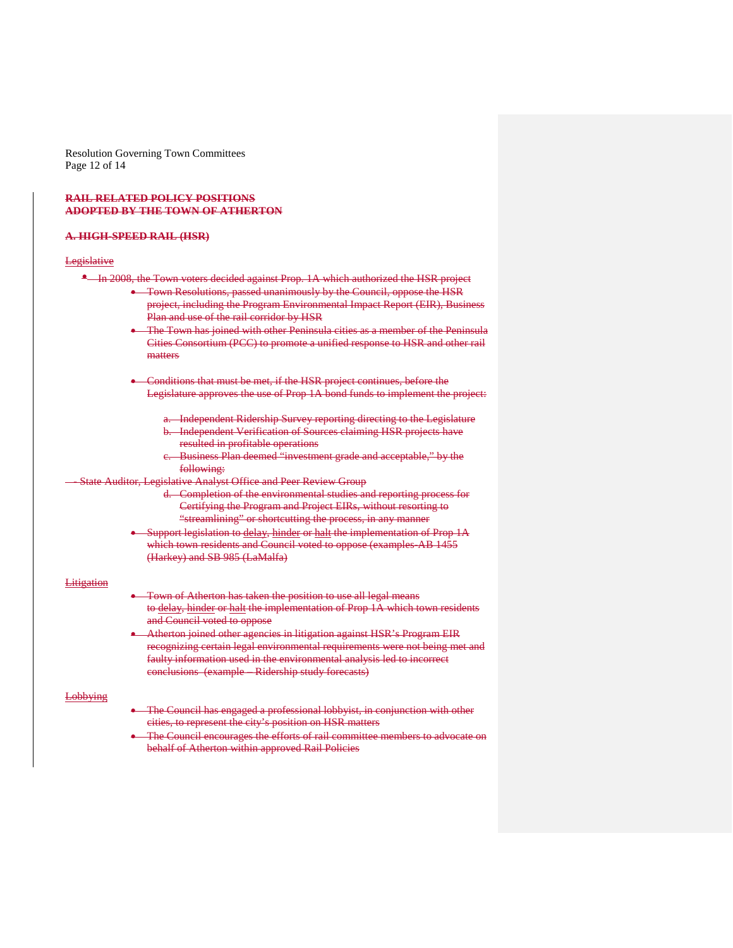Resolution Governing Town Committees Page 12 of 14

### **RAIL RELATED POLICY POSITIONS ADOPTED BY THE TOWN OF ATHERTON**

#### **A. HIGH-SPEED RAIL (HSR)**

#### **Legislative**

- In 2008, the Town voters decided against Prop. 1A which authorized the HSR project
	- Town Resolutions, passed unanimously by the Council, oppose the HSR project, including the Program Environmental Impact Report (EIR), Business Plan and use of the rail corridor by HSR
	- The Town has joined with other Peninsula cities as a member of the Peninsula Cities Consortium (PCC) to promote a unified response to HSR and other rail matters
	- Conditions that must be met, if the HSR project continues, before the Legislature approves the use of Prop 1A bond funds to implement the project:
		- a. Independent Ridership Survey reporting directing to the Legislature b. Independent Verification of Sources claiming HSR projects have resulted in profitable operations
		- Business Plan deemed "investment grade and acceptable," by the following:
- State Auditor, Legislative Analyst Office and Peer Review Group
	- d. Completion of the environmental studies and reporting process for Certifying the Program and Project EIRs, without resorting to "streamlining" or shortcutting the process, in any manner
	- Support legislation to delay, hinder or halt the implementation of Prop 1A which town residents and Council voted to oppose (examples-AB 1455 (Harkey) and SB 985 (LaMalfa)

#### Litigation

- Town of Atherton has taken the position to use all legal means to delay, hinder or halt the implementation of Prop 1A which town residents and Council voted to oppose
- Atherton joined other agencies in litigation against HSR's Program EIR recognizing certain legal environmental requirements were not being met and faulty information used in the environmental analysis led to incorrect conclusions (example – Ridership study forecasts)

#### Lobbying

- The Council has engaged a professional lobbyist, in conjunction with other cities, to represent the city's position on HSR matters
- The Council encourages the efforts of rail committee members to advocate on behalf of Atherton within approved Rail Policies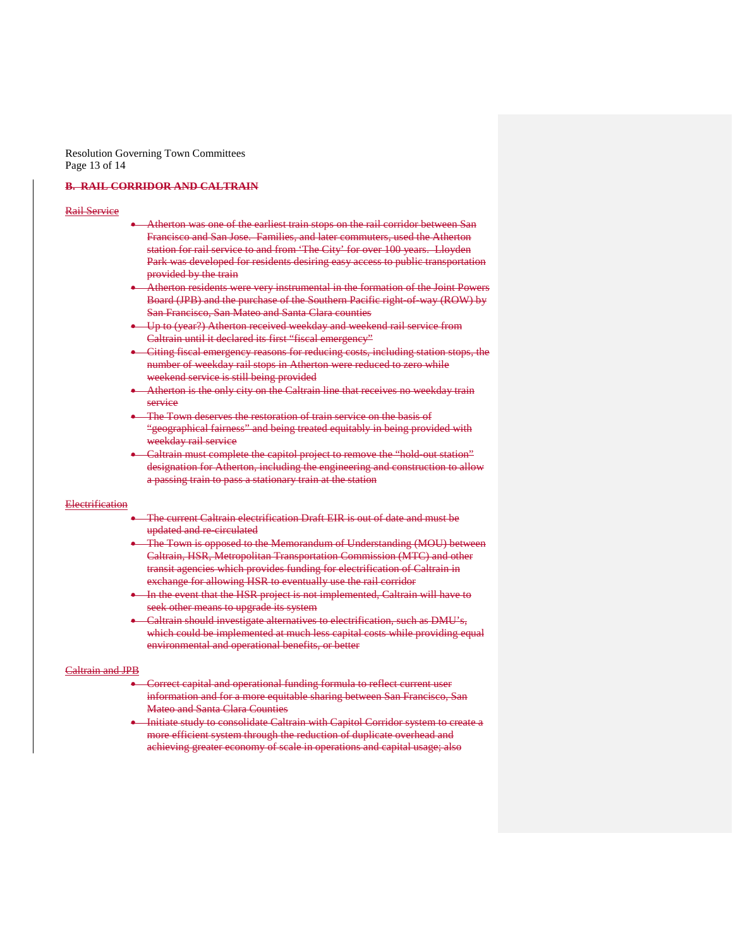Resolution Governing Town Committees Page 13 of 14

### **B. RAIL CORRIDOR AND CALTRAIN**

#### Rail Service

- Atherton was one of the earliest train stops on the rail corridor between San Francisco and San Jose. Families, and later commuters, used the Atherton station for rail service to and from 'The City' for over 100 years. Lloyden Park was developed for residents desiring easy access to public transportation provided by the train
- Atherton residents were very instrumental in the formation of the Joint Powers Board (JPB) and the purchase of the Southern Pacific right-of-way (ROW) by San Francisco, San Mateo and Santa Clara counties
- Up to (year?) Atherton received weekday and weekend rail service from Caltrain until it declared its first "fiscal emergency"
- Citing fiscal emergency reasons for reducing costs, including station stops, the number of weekday rail stops in Atherton were reduced to zero while weekend service is still being provided
- Atherton is the only city on the Caltrain line that receives no weekday train service
- The Town deserves the restoration of train service on the basis of "geographical fairness" and being treated equitably in being provided with weekday rail service
- Caltrain must complete the capitol project to remove the "hold-out station" designation for Atherton, including the engineering and construction to allow a passing train to pass a stationary train at the station

#### **Electrification**

- The current Caltrain electrification Draft EIR is out of date and must be updated and re-circulated
- The Town is opposed to the Memorandum of Understanding (MOU) between Caltrain, HSR, Metropolitan Transportation Commission (MTC) and other transit agencies which provides funding for electrification of Caltrain in exchange for allowing HSR to eventually use the rail corridor
- In the event that the HSR project is not implemented, Caltrain will have to seek other means to upgrade its system
- Caltrain should investigate alternatives to electrification, such as DMU's, which could be implemented at much less capital costs while providing equal environmental and operational benefits, or better

#### Caltrain and JPB

- Correct capital and operational funding formula to reflect current user information and for a more equitable sharing between San Francisco, San Mateo and Santa Clara Counties
- Initiate study to consolidate Caltrain with Capitol Corridor system to create a more efficient system through the reduction of duplicate overhead and achieving greater economy of scale in operations and capital usage; also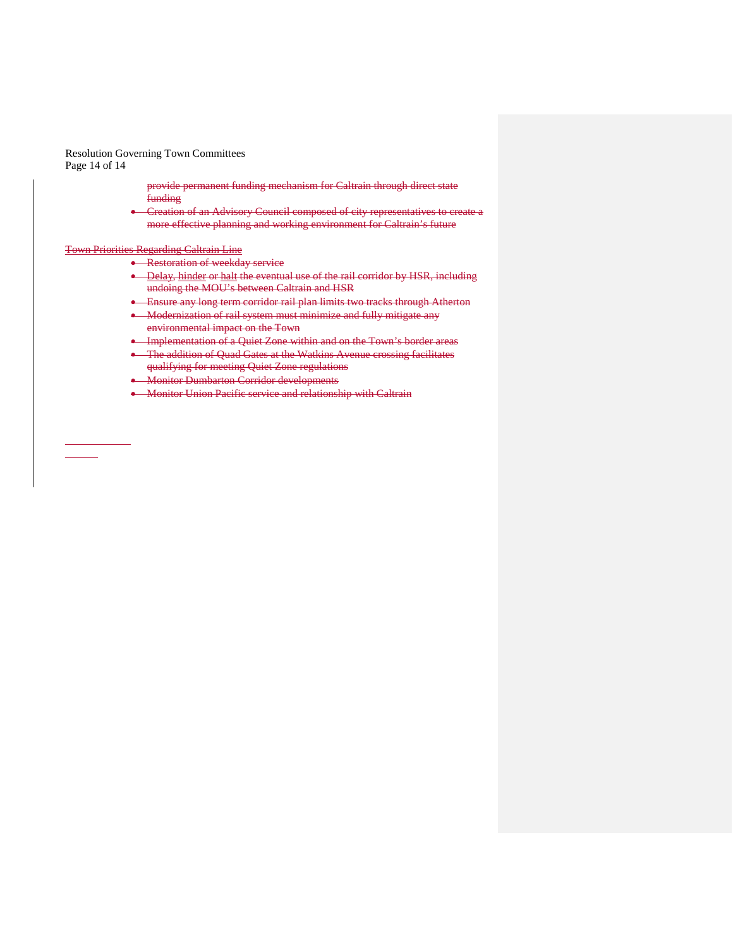Resolution Governing Town Committees Page 14 of 14

> provide permanent funding mechanism for Caltrain through direct state funding

• Creation of an Advisory Council composed of city representatives to create a more effective planning and working environment for Caltrain's future

#### Town Priorities Regarding Caltrain Line

• Restoration of weekday service

- Delay, hinder or halt the eventual use of the rail corridor by HSR, including undoing the MOU's between Caltrain and HSR
- Ensure any long term corridor rail plan limits two tracks through Atherton
- Modernization of rail system must minimize and fully mitigate any environmental impact on the Town
- Implementation of a Quiet Zone within and on the Town's border areas
- The addition of Quad Gates at the Watkins Avenue crossing facilitates qualifying for meeting Quiet Zone regulations
- Monitor Dumbarton Corridor developments
- Monitor Union Pacific service and relationship with Caltrain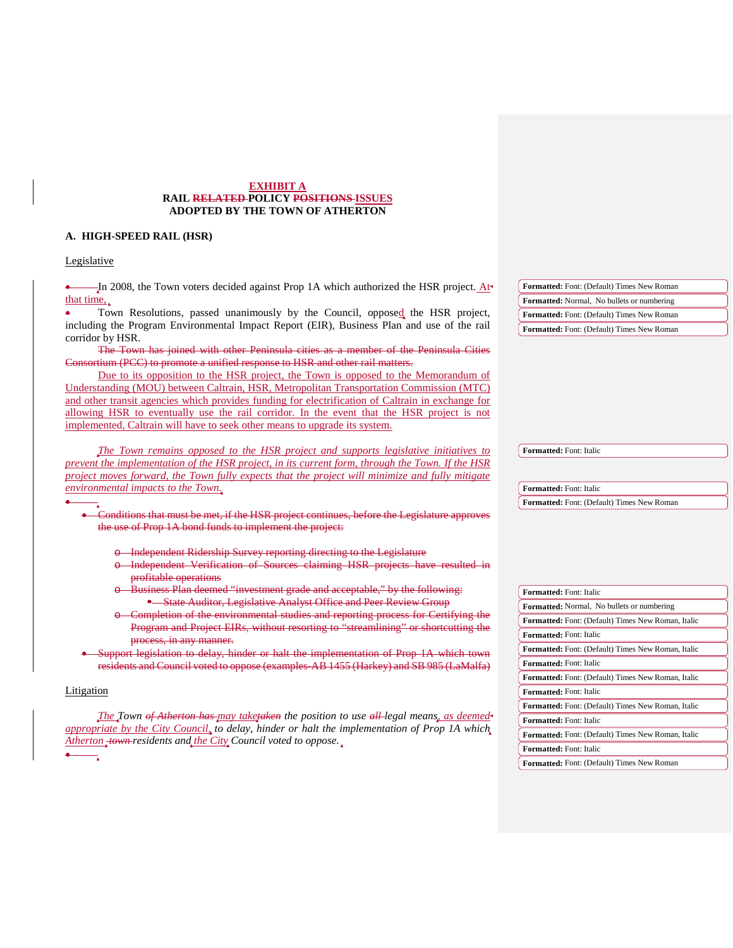### **EXHIBIT A RAIL RELATED POLICY POSITIONS ISSUES ADOPTED BY THE TOWN OF ATHERTON**

## **A. HIGH-SPEED RAIL (HSR)**

## Legislative

| In 2008, the Town voters decided against Prop 1A which authorized the HSR project. At                                                                                         | Formatted: Font: (Default) Times New Roman                            |
|-------------------------------------------------------------------------------------------------------------------------------------------------------------------------------|-----------------------------------------------------------------------|
| that time,                                                                                                                                                                    | Formatted: Normal, No bullets or numbering                            |
| Town Resolutions, passed unanimously by the Council, opposed the HSR project,                                                                                                 | Formatted: Font: (Default) Times New Roman                            |
| including the Program Environmental Impact Report (EIR), Business Plan and use of the rail                                                                                    | <b>Formatted:</b> Font: (Default) Times New Roman                     |
| corridor by HSR.                                                                                                                                                              |                                                                       |
| The Town has joined with other Peninsula cities as a member of the Peninsula Cities                                                                                           |                                                                       |
| Consortium (PCC) to promote a unified response to HSR and other rail matters.                                                                                                 |                                                                       |
| Due to its opposition to the HSR project, the Town is opposed to the Memorandum of<br>Understanding (MOU) between Caltrain, HSR, Metropolitan Transportation Commission (MTC) |                                                                       |
| and other transit agencies which provides funding for electrification of Caltrain in exchange for                                                                             |                                                                       |
| allowing HSR to eventually use the rail corridor. In the event that the HSR project is not                                                                                    |                                                                       |
| implemented, Caltrain will have to seek other means to upgrade its system.                                                                                                    |                                                                       |
|                                                                                                                                                                               |                                                                       |
| The Town remains opposed to the HSR project and supports legislative initiatives to                                                                                           | Formatted: Font: Italic                                               |
| prevent the implementation of the HSR project, in its current form, through the Town. If the HSR                                                                              |                                                                       |
| project moves forward, the Town fully expects that the project will minimize and fully mitigate                                                                               |                                                                       |
| environmental impacts to the Town.                                                                                                                                            | Formatted: Font: Italic                                               |
|                                                                                                                                                                               | Formatted: Font: (Default) Times New Roman                            |
| Conditions that must be met, if the HSR project continues, before the Legislature approves                                                                                    |                                                                       |
| the use of Prop 1A bond funds to implement the project:                                                                                                                       |                                                                       |
|                                                                                                                                                                               |                                                                       |
| o Independent Ridership Survey reporting directing to the Legislature                                                                                                         |                                                                       |
|                                                                                                                                                                               |                                                                       |
| o Independent Verification of Sources claiming HSR projects have resulted in                                                                                                  |                                                                       |
| profitable operations                                                                                                                                                         |                                                                       |
| o Business Plan deemed "investment grade and acceptable," by the following:                                                                                                   | Formatted: Font: Italic                                               |
| * State Auditor, Legislative Analyst Office and Peer Review Group                                                                                                             | Formatted: Normal, No bullets or numbering                            |
| o Completion of the environmental studies and reporting process for Certifying the                                                                                            | Formatted: Font: (Default) Times New Roman, Italic                    |
| Program and Project EIRs, without resorting to "streamlining" or shortcutting the                                                                                             | Formatted: Font: Italic                                               |
| process, in any manner.                                                                                                                                                       | Formatted: Font: (Default) Times New Roman, Italic                    |
| Support legislation to delay, hinder or halt the implementation of Prop 1A which town                                                                                         | Formatted: Font: Italic                                               |
| residents and Council voted to oppose (examples AB 1455 (Harkey) and SB 985 (LaMalfa)                                                                                         | Formatted: Font: (Default) Times New Roman, Italic                    |
| Litigation                                                                                                                                                                    | Formatted: Font: Italic                                               |
|                                                                                                                                                                               | Formatted: Font: (Default) Times New Roman, Italic                    |
| The Town of Atherton has may taketaken the position to use all-legal means, as deemed-                                                                                        |                                                                       |
| appropriate by the City Council, to delay, hinder or halt the implementation of Prop 1A which                                                                                 | Formatted: Font: Italic                                               |
| Atherton_town-residents and the City Council voted to oppose.                                                                                                                 | Formatted: Font: (Default) Times New Roman, Italic                    |
|                                                                                                                                                                               | Formatted: Font: Italic<br>Formatted: Font: (Default) Times New Roman |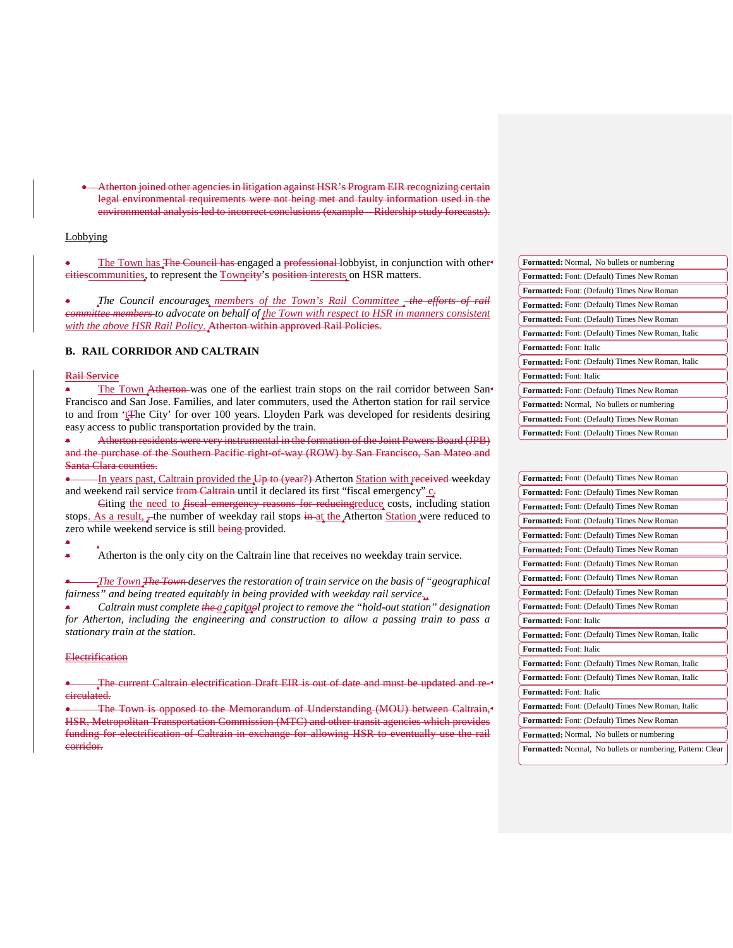• Atherton joined other agencies in litigation against HSR's Program EIR recognizing certain legal environmental requirements were not being met and faulty information used in the environmental analysis led to incorrect conclusions (example – Ridership study forecasts).

## Lobbying

The Town has The Council has engaged a professional lobbyist, in conjunction with other<sup>4</sup> eitiescommunities, to represent the Towneity's position interests on HSR matters.

*The Council encourages members of the Town's Rail Committee the efforts committee members to advocate on behalf of the Town with respect to HSR in manners consistent with the above HSR Rail Policy*. Atherton within approved Rail Policies.

### **B. RAIL CORRIDOR AND CALTRAIN**

#### Rail Service

The Town Atherton was one of the earliest train stops on the rail corridor between San Francisco and San Jose. Families, and later commuters, used the Atherton station for rail service to and from 'tEhe City' for over 100 years. Lloyden Park was developed for residents desiring easy access to public transportation provided by the train.

• Atherton residents were very instrumental in the formation of the Joint Powers Board (JPB) and the purchase of the Southern Pacific right-of-way (ROW) by San Francisco, San Mateo and Santa Clara counties.

-In years past, Caltrain provided the U<sub>p</sub> to (year?) Atherton Station with received weekday and weekend rail service from Caltrain until it declared its first "fiscal emergency"  $c_{\overline{x}}$ 

Citing the need to fiscal emergency reasons for reducingreduce costs, including station stops. As a result, the number of weekday rail stops in at the Atherton Station were reduced to zero while weekend service is still being provided.

• Atherton is the only city on the Caltrain line that receives no weekday train service.

• *The Town The Town deserves the restoration of train service on the basis of "geographical fairness" and being treated equitably in being provided with weekday rail service.*

• *Caltrain must complete the a capitaol project to remove the "hold-out station" designation for Atherton, including the engineering and construction to allow a passing train to pass a stationary train at the station.*

#### **Electrification**

•

The current Caltrain electrification Draft EIR is out of date and must be updated and recirculated.

• The Town is opposed to the Memorandum of Understanding (MOU) between Caltrain, HSR, Metropolitan Transportation Commission (MTC) and other transit agencies which provides funding for electrification of Caltrain in exchange for allowing HSR to eventually use the rail corridor.

| <b>Formatted:</b> Normal, No bullets or numbering         |
|-----------------------------------------------------------|
| <b>Formatted:</b> Font: (Default) Times New Roman         |
| <b>Formatted:</b> Font: (Default) Times New Roman         |
| <b>Formatted:</b> Font: (Default) Times New Roman         |
| Formatted: Font: (Default) Times New Roman                |
| <b>Formatted:</b> Font: (Default) Times New Roman, Italic |
| <b>Formatted:</b> Font: Italic                            |
| <b>Formatted:</b> Font: (Default) Times New Roman, Italic |
| <b>Formatted:</b> Font: Italic                            |
| <b>Formatted:</b> Font: (Default) Times New Roman         |
| Formatted: Normal, No bullets or numbering                |
| <b>Formatted:</b> Font: (Default) Times New Roman         |
| <b>Formatted:</b> Font: (Default) Times New Roman         |

| Formatted: Font: (Default) Times New Roman                 |
|------------------------------------------------------------|
| Formatted: Font: (Default) Times New Roman                 |
| Formatted: Font: (Default) Times New Roman                 |
| Formatted: Font: (Default) Times New Roman                 |
| Formatted: Font: (Default) Times New Roman                 |
| Formatted: Font: (Default) Times New Roman                 |
| Formatted: Font: (Default) Times New Roman                 |
| Formatted: Font: (Default) Times New Roman                 |
| Formatted: Font: (Default) Times New Roman                 |
| Formatted: Font: (Default) Times New Roman                 |
| Formatted: Font: Italic                                    |
| <b>Formatted:</b> Font: (Default) Times New Roman, Italic  |
| Formatted: Font: Italic                                    |
| Formatted: Font: (Default) Times New Roman, Italic         |
| <b>Formatted:</b> Font: (Default) Times New Roman, Italic  |
| <b>Formatted:</b> Font: Italic                             |
| Formatted: Font: (Default) Times New Roman, Italic         |
| Formatted: Font: (Default) Times New Roman                 |
| <b>Formatted:</b> Normal, No bullets or numbering          |
| Formatted: Normal, No bullets or numbering, Pattern: Clear |
|                                                            |